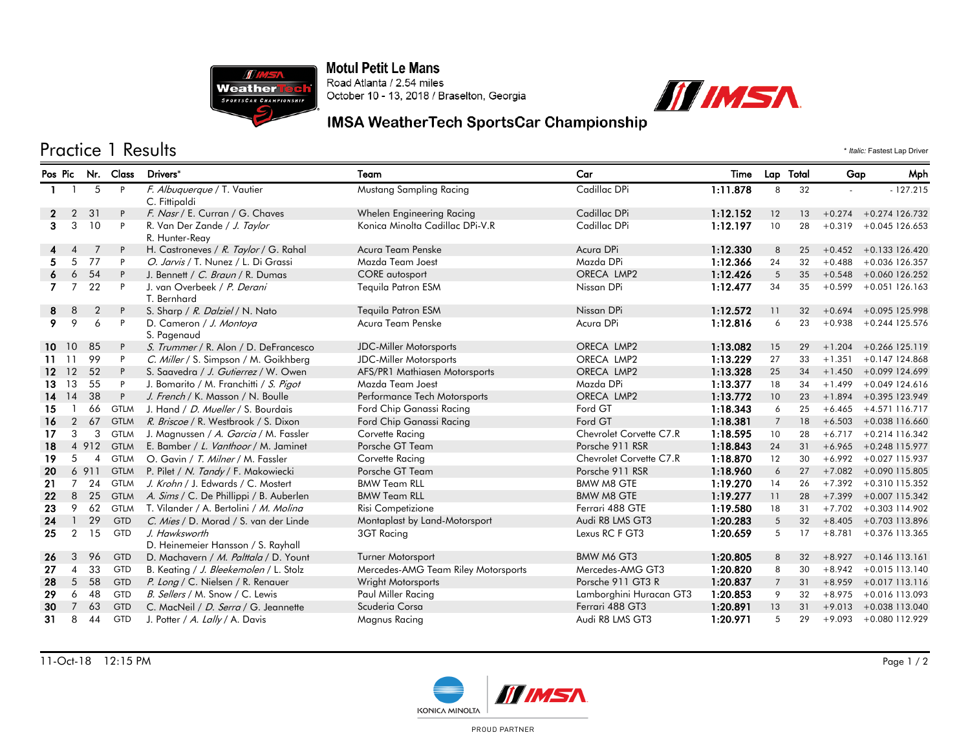

**Motul Petit Le Mans** Road Atlanta / 2.54 miles October 10 - 13, 2018 / Braselton, Georgia



## IMSA WeatherTech SportsCar Championship

## Practice 1 Results \* *Italic:* Fastest Lap Driver

| Pos Pic |                | Nr.            | Class       | Drivers <sup>*</sup>                         | Team                                | Car                     | Time     |                | Lap Total | Gap      | Mph                      |
|---------|----------------|----------------|-------------|----------------------------------------------|-------------------------------------|-------------------------|----------|----------------|-----------|----------|--------------------------|
|         |                | 5              | P           | F. Albuquerque / T. Vautier<br>C. Fittipaldi | Mustang Sampling Racing             | Cadillac DPi            | 1:11.878 | 8              | 32        |          | $-127.215$               |
| 2       | $\overline{2}$ | 31             | P           | F. Nasr / E. Curran / G. Chaves              | Whelen Engineering Racing           | Cadillac DPi            | 1:12.152 | 12             | 13        | $+0.274$ | $+0.274$ 126.732         |
| З.      | 3              | 10             | P           | R. Van Der Zande / J. Taylor                 | Konica Minolta Cadillac DPi-V.R     | Cadillac DPi            | 1:12.197 | 10             | 28        | $+0.319$ | $+0.045$ 126.653         |
|         |                |                |             | R. Hunter-Reay                               |                                     |                         |          |                |           |          |                          |
|         | $\overline{4}$ | 7              | P           | H. Castroneves / R. Taylor / G. Rahal        | Acura Team Penske                   | Acura DPi               | 1:12.330 | 8              | 25        |          | $+0.452 + 0.133126.420$  |
|         | 5              | 77             | P           | O. Jarvis / T. Nunez / L. Di Grassi          | Mazda Team Joest                    | Mazda DPi               | 1:12.366 | 24             | 32        | $+0.488$ | $+0.036$ 126.357         |
|         | 6              | 54             | P           | J. Bennett / C. Braun / R. Dumas             | <b>CORE</b> autosport               | ORECA LMP2              | 1:12.426 | 5              | 35        | $+0.548$ | +0.060 126.252           |
|         |                | 22             | P           | J. van Overbeek / P. Derani<br>T. Bernhard   | Tequila Patron ESM                  | Nissan DPi              | 1:12.477 | 34             | 35        | $+0.599$ | $+0.051$ 126.163         |
| 8       | 8              | $\overline{2}$ | P           | S. Sharp / R. Dalziel / N. Nato              | Tequila Patron ESM                  | Nissan DPi              | 1:12.572 | 11             | 32        | $+0.694$ | +0.095 125.998           |
| 9.      | 9              | 6              | P           | D. Cameron / J. Montoya<br>S. Pagenaud       | Acura Team Penske                   | Acura DPi               | 1:12.816 | 6              | 23        | $+0.938$ | +0.244 125.576           |
|         | 10 10          | 85             | P           | S. Trummer / R. Alon / D. DeFrancesco        | <b>JDC-Miller Motorsports</b>       | ORECA LMP2              | 1:13.082 | 15             | 29        |          | $+1.204 + 0.266$ 125.119 |
| 11.     | -11            | 99             | P           | C. Miller / S. Simpson / M. Goikhberg        | <b>JDC-Miller Motorsports</b>       | ORECA LMP2              | 1:13.229 | 27             | 33        | $+1.351$ | +0.147 124.868           |
| $12 \,$ | 12             | 52             | P           | S. Saavedra / J. Gutierrez / W. Owen         | AFS/PR1 Mathiasen Motorsports       | ORECA LMP2              | 1:13.328 | 25             | 34        |          | $+1.450 + 0.099124.699$  |
| 13      | 13             | 55             | P           | J. Bomarito / M. Franchitti / S. Pigot       | Mazda Team Joest                    | Mazda DPi               | 1:13.377 | 18             | 34        | $+1.499$ | +0.049 124.616           |
| 14      | 14             | 38             | P           | J. French / K. Masson / N. Boulle            | Performance Tech Motorsports        | ORECA LMP2              | 1:13.772 | 10             | 23        | $+1.894$ | +0.395 123.949           |
| 15      |                | 66             | <b>GTLM</b> | J. Hand / <i>D. Mueller</i> / S. Bourdais    | Ford Chip Ganassi Racing            | Ford GT                 | 1:18.343 | 6              | 25        | $+6.465$ | +4.571 116.717           |
| 16      | $\overline{2}$ | 67             | <b>GTLM</b> | R. Briscoe / R. Westbrook / S. Dixon         | Ford Chip Ganassi Racing            | Ford GT                 | 1:18.381 | $\overline{7}$ | 18        |          | $+6.503 + 0.038116.660$  |
| 17      | 3              | 3              | <b>GTLM</b> | J. Magnussen / A. Garcia / M. Fassler        | Corvette Racing                     | Chevrolet Corvette C7.R | 1:18.595 | 10             | 28        | $+6.717$ | $+0.214$ 116.342         |
| 18      | $\overline{4}$ | 912            | <b>GTLM</b> | E. Bamber / L. Vanthoor / M. Jaminet         | Porsche GT Team                     | Porsche 911 RSR         | 1:18.843 | 24             | 31        | $+6.965$ | +0.248 115.977           |
| 19      | 5              | $\overline{4}$ | <b>GTLM</b> | O. Gavin / T. Milner / M. Fassler            | Corvette Racing                     | Chevrolet Corvette C7.R | 1:18.870 | 12             | 30        | $+6.992$ | +0.027 115.937           |
| 20      | 6              | 911            | <b>GTLM</b> | P. Pilet / N. Tandy / F. Makowiecki          | Porsche GT Team                     | Porsche 911 RSR         | 1:18.960 | 6              | 27        |          | +7.082 +0.090 115.805    |
| 21      |                | 24             | <b>GTLM</b> | J. Krohn / J. Edwards / C. Mostert           | <b>BMW Team RLL</b>                 | <b>BMW M8 GTE</b>       | 1:19.270 | 14             | 26        | $+7.392$ | +0.310 115.352           |
| 22      | 8              | 25             | <b>GTLM</b> | A. Sims / C. De Phillippi / B. Auberlen      | <b>BMW Team RLL</b>                 | <b>BMW M8 GTE</b>       | 1:19.277 | 11             | 28        | $+7.399$ | +0.007 115.342           |
| 23      | 9              | 62             | <b>GTLM</b> | T. Vilander / A. Bertolini / M. Molina       | Risi Competizione                   | Ferrari 488 GTE         | 1:19.580 | 18             | 31        | $+7.702$ | $+0.303$ 114.902         |
| 24      |                | 29             | <b>GTD</b>  | C. Mies / D. Morad / S. van der Linde        | Montaplast by Land-Motorsport       | Audi R8 LMS GT3         | 1:20.283 | 5              | 32        | $+8.405$ | +0.703 113.896           |
| 25      | $\overline{2}$ | 15             | <b>GTD</b>  | J. Hawksworth                                | 3GT Racing                          | Lexus RC F GT3          | 1:20.659 | 5              | 17        | $+8.781$ | +0.376 113.365           |
|         |                |                |             | D. Heinemeier Hansson / S. Rayhall           |                                     |                         |          |                |           |          |                          |
| 26      | 3              | 96             | <b>GTD</b>  | D. Machavern / M. Palttala / D. Yount        | <b>Turner Motorsport</b>            | BMW M6 GT3              | 1:20.805 | 8              | 32        | $+8.927$ | $+0.146$ 113.161         |
| 27      | $\overline{4}$ | 33             | GTD         | B. Keating / J. Bleekemolen / L. Stolz       | Mercedes-AMG Team Riley Motorsports | Mercedes-AMG GT3        | 1:20.820 | 8              | 30        | $+8.942$ | $+0.015$ 113.140         |
| 28      | 5              | 58             | <b>GTD</b>  | P. Long / C. Nielsen / R. Renauer            | Wright Motorsports                  | Porsche 911 GT3 R       | 1:20.837 | $\overline{7}$ | 31        | $+8.959$ | $+0.017$ 113.116         |
| 29      | 6              | 48             | GTD         | B. Sellers / M. Snow / C. Lewis              | Paul Miller Racing                  | Lamborghini Huracan GT3 | 1:20.853 | 9              | 32        | $+8.975$ | +0.016 113.093           |
| 30      |                | 63             | <b>GTD</b>  | C. MacNeil / D. Serra / G. Jeannette         | Scuderia Corsa                      | Ferrari 488 GT3         | 1:20.891 | 13             | 31        | $+9.013$ | +0.038 113.040           |
| 31      | 8              | 44             | GTD         | J. Potter / A. Lally / A. Davis              | Magnus Racing                       | Audi R8 LMS GT3         | 1:20.971 | 5              | 29        | $+9.093$ | +0.080 112.929           |



PROUD PARTNER